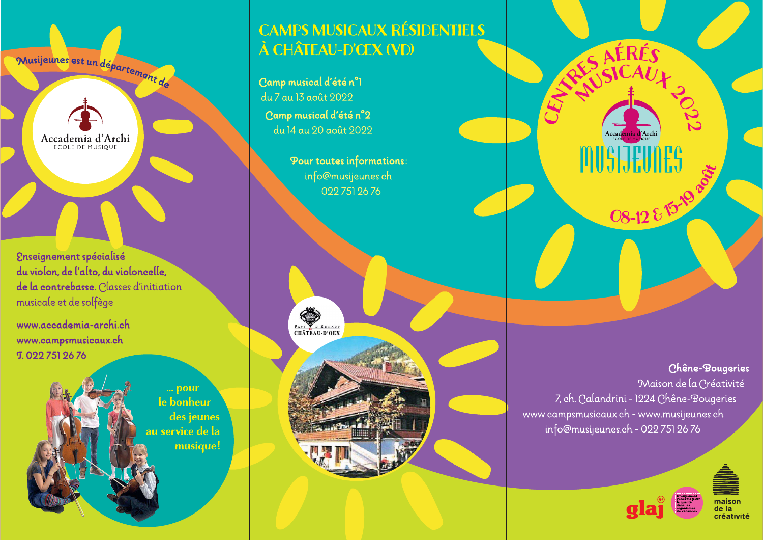Musijeunes est un département de

Accademia d'Archi ECOLE DE MUSIQUE

**2nseignement spécialisé** du violon, de l'alto, du violoncelle, de la contrebasse. Classes d'initiation musicale et de solfège

www.accademia-archi.ch www.campsmusicaux.ch **T. 022 751 26 76** 

> ... pour le bonheur des jeunes au service de la musique!

## **CAMPS MUSICAUX RÉSIDENTIELS** À CHÂTEAU-D'ŒX (VD)

Camp musical d'été n°1 du 7 au 13 août 2022 Camp musical d'été n°2 du 14 au 20 août 2022

> Pour toutes informations: info@musijeunes.ch 0227512676



Chêne-Bougeries Maison de la Créativité 7, ch. Calandrini - 1224 Chêne-Bougeries www.campsmusicaux.ch - www.musijeunes.ch info@musijeunes.ch - 022 751 26 76

RES AÉRÉS

Accad

**A**Archi

08-12 & 15-19 acts





de la créativité